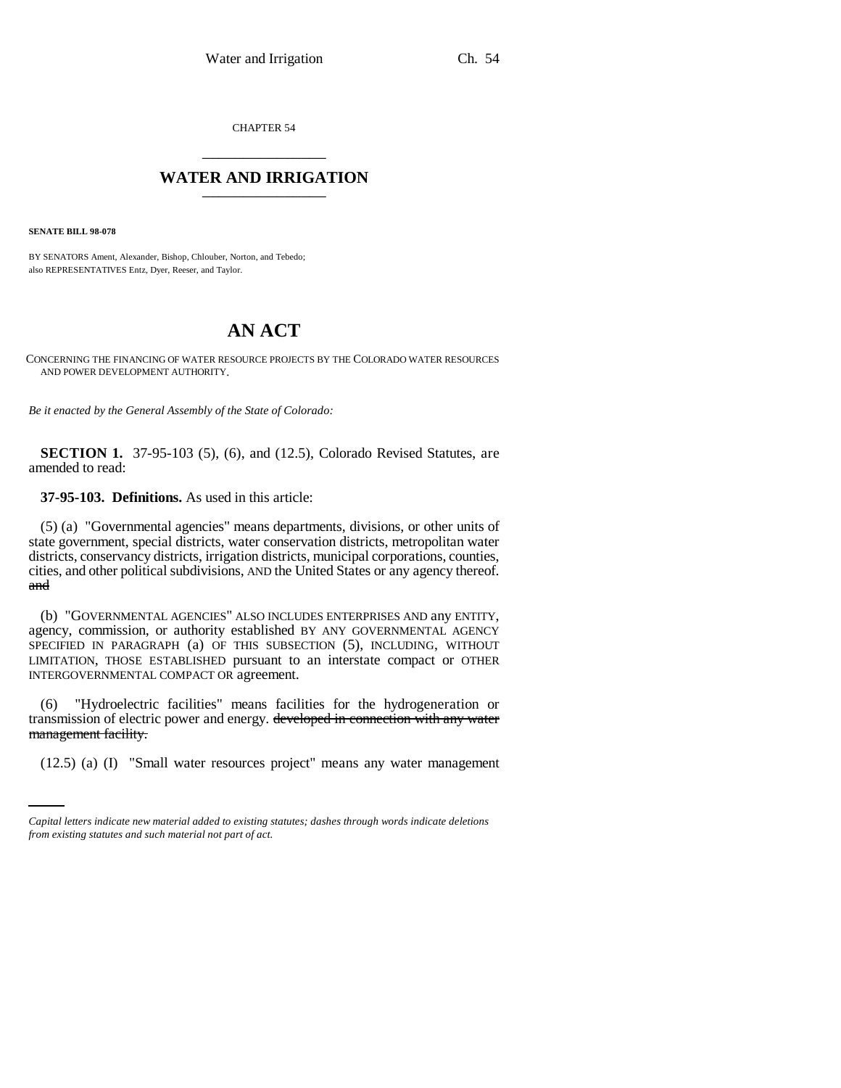CHAPTER 54 \_\_\_\_\_\_\_\_\_\_\_\_\_\_\_

## **WATER AND IRRIGATION** \_\_\_\_\_\_\_\_\_\_\_\_\_\_\_

**SENATE BILL 98-078**

BY SENATORS Ament, Alexander, Bishop, Chlouber, Norton, and Tebedo; also REPRESENTATIVES Entz, Dyer, Reeser, and Taylor.

## **AN ACT**

CONCERNING THE FINANCING OF WATER RESOURCE PROJECTS BY THE COLORADO WATER RESOURCES AND POWER DEVELOPMENT AUTHORITY.

*Be it enacted by the General Assembly of the State of Colorado:*

**SECTION 1.** 37-95-103 (5), (6), and (12.5), Colorado Revised Statutes, are amended to read:

## **37-95-103. Definitions.** As used in this article:

(5) (a) "Governmental agencies" means departments, divisions, or other units of state government, special districts, water conservation districts, metropolitan water districts, conservancy districts, irrigation districts, municipal corporations, counties, cities, and other political subdivisions, AND the United States or any agency thereof. and

(b) "GOVERNMENTAL AGENCIES" ALSO INCLUDES ENTERPRISES AND any ENTITY, agency, commission, or authority established BY ANY GOVERNMENTAL AGENCY SPECIFIED IN PARAGRAPH (a) OF THIS SUBSECTION (5), INCLUDING, WITHOUT LIMITATION, THOSE ESTABLISHED pursuant to an interstate compact or OTHER INTERGOVERNMENTAL COMPACT OR agreement.

management facility. (6) "Hydroelectric facilities" means facilities for the hydrogeneration or transmission of electric power and energy. developed in connection with any water

(12.5) (a) (I) "Small water resources project" means any water management

*Capital letters indicate new material added to existing statutes; dashes through words indicate deletions from existing statutes and such material not part of act.*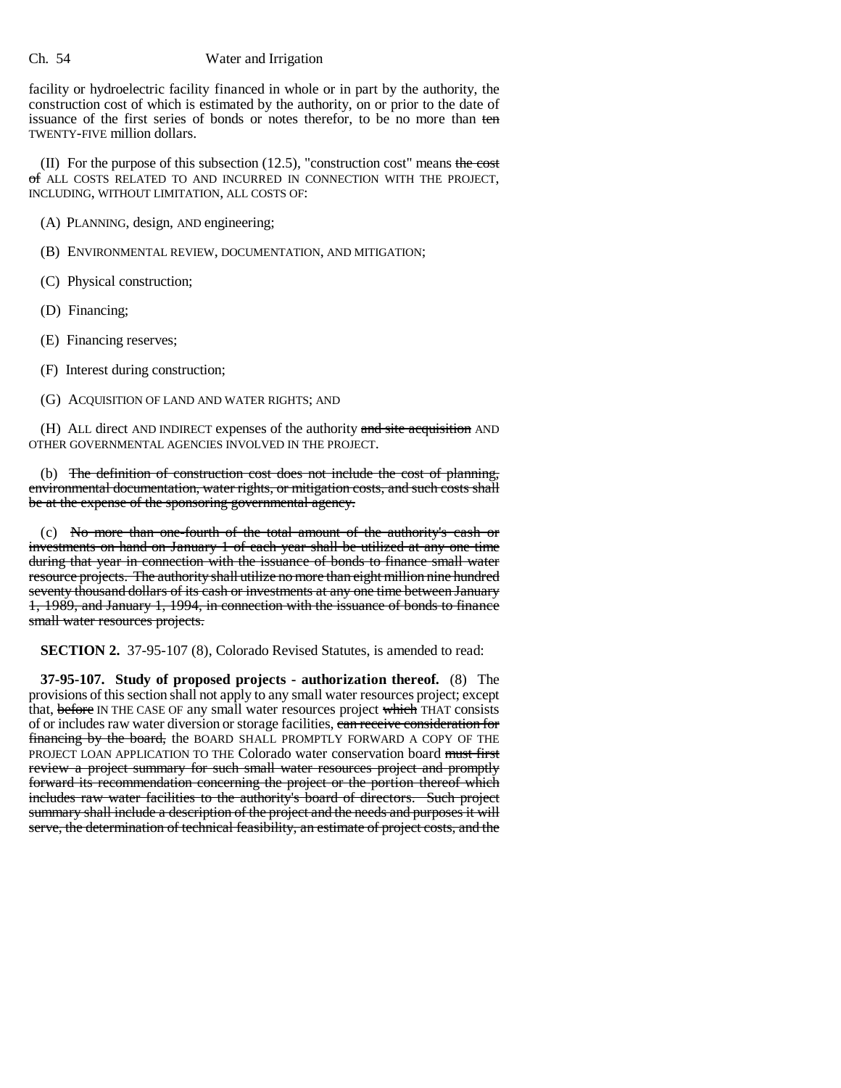## Ch. 54 Water and Irrigation

facility or hydroelectric facility financed in whole or in part by the authority, the construction cost of which is estimated by the authority, on or prior to the date of issuance of the first series of bonds or notes therefor, to be no more than ten TWENTY-FIVE million dollars.

(II) For the purpose of this subsection  $(12.5)$ , "construction cost" means the cost of ALL COSTS RELATED TO AND INCURRED IN CONNECTION WITH THE PROJECT, INCLUDING, WITHOUT LIMITATION, ALL COSTS OF:

(A) PLANNING, design, AND engineering;

(B) ENVIRONMENTAL REVIEW, DOCUMENTATION, AND MITIGATION;

(C) Physical construction;

(D) Financing;

(E) Financing reserves;

(F) Interest during construction;

(G) ACQUISITION OF LAND AND WATER RIGHTS; AND

(H) ALL direct AND INDIRECT expenses of the authority and site acquisition AND OTHER GOVERNMENTAL AGENCIES INVOLVED IN THE PROJECT.

(b) The definition of construction cost does not include the cost of planning, environmental documentation, water rights, or mitigation costs, and such costs shall be at the expense of the sponsoring governmental agency.

(c) No more than one-fourth of the total amount of the authority's cash or investments on hand on January 1 of each year shall be utilized at any one time during that year in connection with the issuance of bonds to finance small water resource projects. The authority shall utilize no more than eight million nine hundred seventy thousand dollars of its cash or investments at any one time between January 1, 1989, and January 1, 1994, in connection with the issuance of bonds to finance small water resources projects.

**SECTION 2.** 37-95-107 (8), Colorado Revised Statutes, is amended to read:

**37-95-107. Study of proposed projects - authorization thereof.** (8) The provisions of this section shall not apply to any small water resources project; except that, before IN THE CASE OF any small water resources project which THAT consists of or includes raw water diversion or storage facilities, can receive consideration for financing by the board, the BOARD SHALL PROMPTLY FORWARD A COPY OF THE PROJECT LOAN APPLICATION TO THE Colorado water conservation board must first review a project summary for such small water resources project and promptly forward its recommendation concerning the project or the portion thereof which includes raw water facilities to the authority's board of directors. Such project summary shall include a description of the project and the needs and purposes it will serve, the determination of technical feasibility, an estimate of project costs, and the